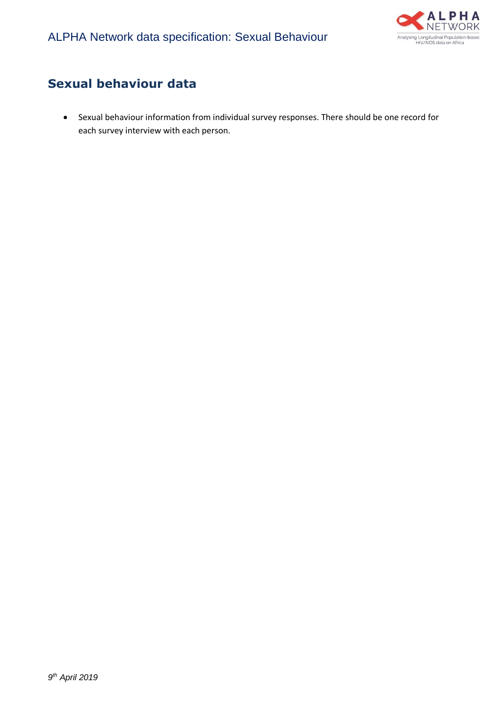

## **Sexual behaviour data**

• Sexual behaviour information from individual survey responses. There should be one record for each survey interview with each person.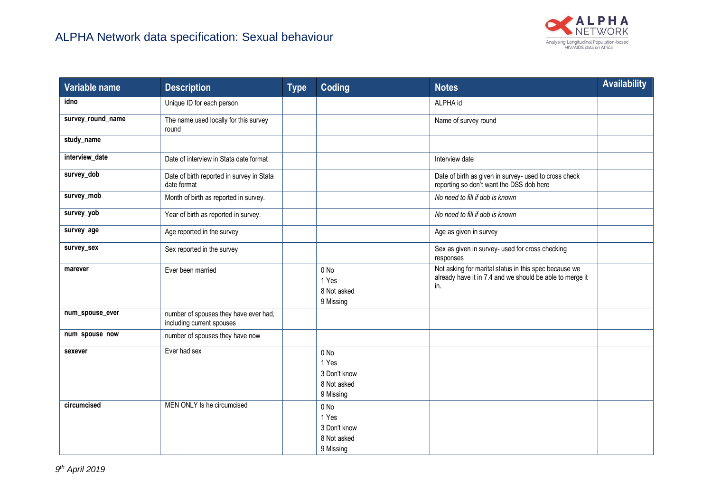

| Variable name     | <b>Description</b>                                                 | <b>Type</b> | Coding                                                    | <b>Notes</b>                                                                                                             | <b>Availability</b> |
|-------------------|--------------------------------------------------------------------|-------------|-----------------------------------------------------------|--------------------------------------------------------------------------------------------------------------------------|---------------------|
| idno              | Unique ID for each person                                          |             |                                                           | ALPHA id                                                                                                                 |                     |
| survey_round_name | The name used locally for this survey<br>round                     |             |                                                           | Name of survey round                                                                                                     |                     |
| study_name        |                                                                    |             |                                                           |                                                                                                                          |                     |
| interview_date    | Date of interview in Stata date format                             |             |                                                           | Interview date                                                                                                           |                     |
| survey_dob        | Date of birth reported in survey in Stata<br>date format           |             |                                                           | Date of birth as given in survey- used to cross check<br>reporting so don't want the DSS dob here                        |                     |
| survey_mob        | Month of birth as reported in survey.                              |             |                                                           | No need to fill if dob is known                                                                                          |                     |
| survey_yob        | Year of birth as reported in survey.                               |             |                                                           | No need to fill if dob is known                                                                                          |                     |
| survey_age        | Age reported in the survey                                         |             |                                                           | Age as given in survey                                                                                                   |                     |
| survey_sex        | Sex reported in the survey                                         |             |                                                           | Sex as given in survey- used for cross checking<br>responses                                                             |                     |
| marever           | Ever been married                                                  |             | 0 No<br>1 Yes<br>8 Not asked<br>9 Missing                 | Not asking for marital status in this spec because we<br>already have it in 7.4 and we should be able to merge it<br>in. |                     |
| num_spouse_ever   | number of spouses they have ever had,<br>including current spouses |             |                                                           |                                                                                                                          |                     |
| num_spouse_now    | number of spouses they have now                                    |             |                                                           |                                                                                                                          |                     |
| sexever           | Ever had sex                                                       |             | 0 No<br>1 Yes<br>3 Don't know<br>8 Not asked<br>9 Missing |                                                                                                                          |                     |
| circumcised       | MEN ONLY Is he circumcised                                         |             | 0 No<br>1 Yes<br>3 Don't know<br>8 Not asked<br>9 Missing |                                                                                                                          |                     |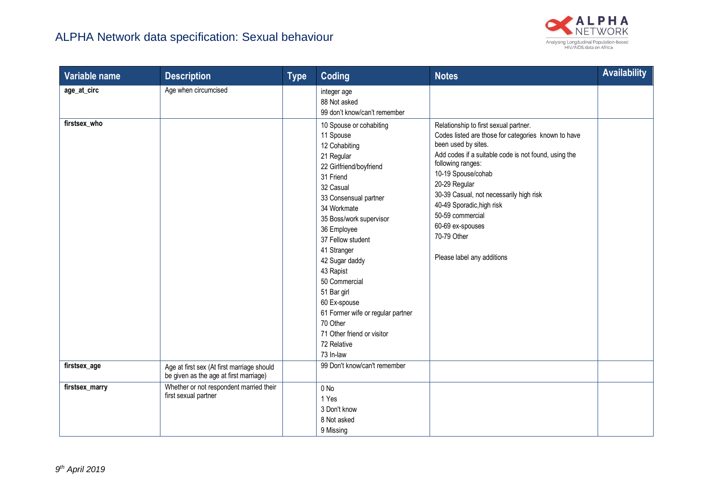

| Variable name  | <b>Description</b>                                                                   | <b>Type</b> | Coding                                                                                                                                                                                                                                                                                                                                                                                                                                   | <b>Notes</b>                                                                                                                                                                                                                                                                                                                                                                                         | <b>Availability</b> |
|----------------|--------------------------------------------------------------------------------------|-------------|------------------------------------------------------------------------------------------------------------------------------------------------------------------------------------------------------------------------------------------------------------------------------------------------------------------------------------------------------------------------------------------------------------------------------------------|------------------------------------------------------------------------------------------------------------------------------------------------------------------------------------------------------------------------------------------------------------------------------------------------------------------------------------------------------------------------------------------------------|---------------------|
| age_at_circ    | Age when circumcised                                                                 |             | integer age<br>88 Not asked<br>99 don't know/can't remember                                                                                                                                                                                                                                                                                                                                                                              |                                                                                                                                                                                                                                                                                                                                                                                                      |                     |
| firstsex who   |                                                                                      |             | 10 Spouse or cohabiting<br>11 Spouse<br>12 Cohabiting<br>21 Regular<br>22 Girlfriend/boyfriend<br>31 Friend<br>32 Casual<br>33 Consensual partner<br>34 Workmate<br>35 Boss/work supervisor<br>36 Employee<br>37 Fellow student<br>41 Stranger<br>42 Sugar daddy<br>43 Rapist<br>50 Commercial<br>51 Bar girl<br>60 Ex-spouse<br>61 Former wife or regular partner<br>70 Other<br>71 Other friend or visitor<br>72 Relative<br>73 In-law | Relationship to first sexual partner.<br>Codes listed are those for categories known to have<br>been used by sites.<br>Add codes if a suitable code is not found, using the<br>following ranges:<br>10-19 Spouse/cohab<br>20-29 Regular<br>30-39 Casual, not necessarily high risk<br>40-49 Sporadic, high risk<br>50-59 commercial<br>60-69 ex-spouses<br>70-79 Other<br>Please label any additions |                     |
| firstsex_age   | Age at first sex (At first marriage should<br>be given as the age at first marriage) |             | 99 Don't know/can't remember                                                                                                                                                                                                                                                                                                                                                                                                             |                                                                                                                                                                                                                                                                                                                                                                                                      |                     |
| firstsex_marry | Whether or not respondent married their<br>first sexual partner                      |             | 0 <sub>No</sub><br>1 Yes<br>3 Don't know<br>8 Not asked<br>9 Missing                                                                                                                                                                                                                                                                                                                                                                     |                                                                                                                                                                                                                                                                                                                                                                                                      |                     |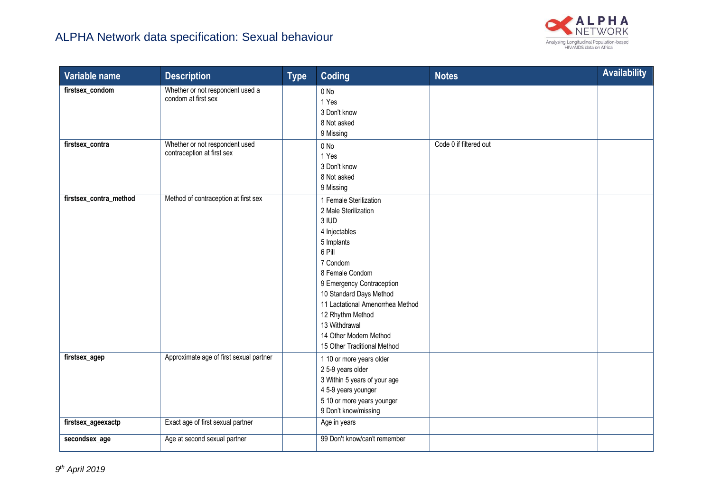

| Variable name          | <b>Description</b>                                           | <b>Type</b> | <b>Coding</b>                                                                                                                                                                                                                                                                                                             | <b>Notes</b>           | <b>Availability</b> |
|------------------------|--------------------------------------------------------------|-------------|---------------------------------------------------------------------------------------------------------------------------------------------------------------------------------------------------------------------------------------------------------------------------------------------------------------------------|------------------------|---------------------|
| firstsex_condom        | Whether or not respondent used a<br>condom at first sex      |             | 0 No<br>1 Yes<br>3 Don't know<br>8 Not asked<br>9 Missing                                                                                                                                                                                                                                                                 |                        |                     |
| firstsex_contra        | Whether or not respondent used<br>contraception at first sex |             | $0$ No<br>1 Yes<br>3 Don't know<br>8 Not asked<br>9 Missing                                                                                                                                                                                                                                                               | Code 0 if filtered out |                     |
| firstsex_contra_method | Method of contraception at first sex                         |             | 1 Female Sterilization<br>2 Male Sterilization<br>3 IUD<br>4 Injectables<br>5 Implants<br>6 Pill<br>7 Condom<br>8 Female Condom<br>9 Emergency Contraception<br>10 Standard Days Method<br>11 Lactational Amenorrhea Method<br>12 Rhythm Method<br>13 Withdrawal<br>14 Other Modern Method<br>15 Other Traditional Method |                        |                     |
| firstsex_agep          | Approximate age of first sexual partner                      |             | 1 10 or more years older<br>2 5-9 years older<br>3 Within 5 years of your age<br>4 5-9 years younger<br>5 10 or more years younger<br>9 Don't know/missing                                                                                                                                                                |                        |                     |
| firstsex_ageexactp     | Exact age of first sexual partner                            |             | Age in years                                                                                                                                                                                                                                                                                                              |                        |                     |
| secondsex_age          | Age at second sexual partner                                 |             | 99 Don't know/can't remember                                                                                                                                                                                                                                                                                              |                        |                     |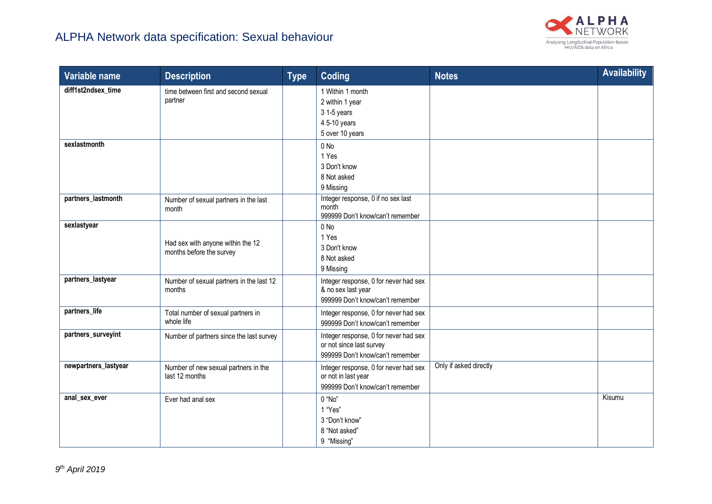

| Variable name        | <b>Description</b>                                            | <b>Type</b> | <b>Coding</b>                                                                                         | <b>Notes</b>           | <b>Availability</b> |
|----------------------|---------------------------------------------------------------|-------------|-------------------------------------------------------------------------------------------------------|------------------------|---------------------|
| diff1st2ndsex time   | time between first and second sexual<br>partner               |             | 1 Within 1 month<br>2 within 1 year<br>3 1-5 years<br>4 5-10 years<br>5 over 10 years                 |                        |                     |
| sexlastmonth         |                                                               |             | 0 No<br>1 Yes<br>3 Don't know<br>8 Not asked<br>9 Missing                                             |                        |                     |
| partners_lastmonth   | Number of sexual partners in the last<br>month                |             | Integer response, 0 if no sex last<br>month<br>999999 Don't know/can't remember                       |                        |                     |
| sexlastyear          | Had sex with anyone within the 12<br>months before the survey |             | 0 No<br>1 Yes<br>3 Don't know<br>8 Not asked<br>9 Missing                                             |                        |                     |
| partners_lastyear    | Number of sexual partners in the last 12<br>months            |             | Integer response, 0 for never had sex<br>& no sex last year<br>999999 Don't know/can't remember       |                        |                     |
| partners_life        | Total number of sexual partners in<br>whole life              |             | Integer response, 0 for never had sex<br>999999 Don't know/can't remember                             |                        |                     |
| partners_surveyint   | Number of partners since the last survey                      |             | Integer response, 0 for never had sex<br>or not since last survey<br>999999 Don't know/can't remember |                        |                     |
| newpartners_lastyear | Number of new sexual partners in the<br>last 12 months        |             | Integer response, 0 for never had sex<br>or not in last year<br>999999 Don't know/can't remember      | Only if asked directly |                     |
| anal_sex_ever        | Ever had anal sex                                             |             | 0 "No"<br>1 "Yes"<br>3 "Don't know"<br>8 "Not asked"<br>9 "Missing"                                   |                        | Kisumu              |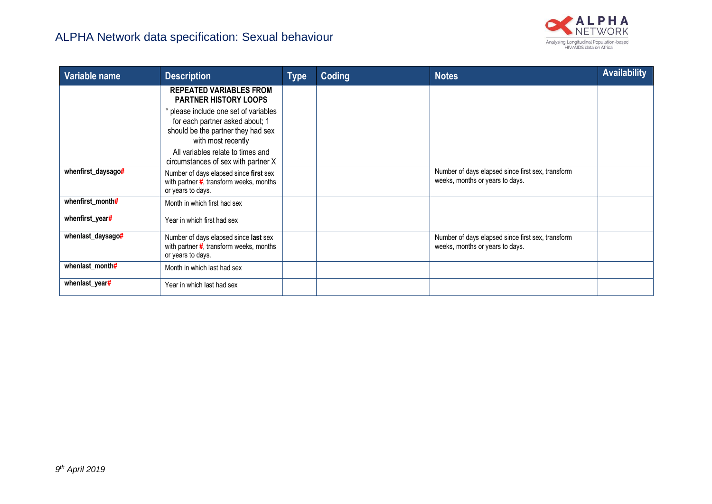

| Variable name      | <b>Description</b>                                                                                                                   | <b>Type</b> | Coding | <b>Notes</b>                                                                         | <b>Availability</b> |
|--------------------|--------------------------------------------------------------------------------------------------------------------------------------|-------------|--------|--------------------------------------------------------------------------------------|---------------------|
|                    | <b>REPEATED VARIABLES FROM</b><br><b>PARTNER HISTORY LOOPS</b>                                                                       |             |        |                                                                                      |                     |
|                    | * please include one set of variables<br>for each partner asked about; 1<br>should be the partner they had sex<br>with most recently |             |        |                                                                                      |                     |
|                    | All variables relate to times and<br>circumstances of sex with partner X                                                             |             |        |                                                                                      |                     |
| whenfirst_daysago# | Number of days elapsed since first sex<br>with partner $\#$ , transform weeks, months<br>or years to days.                           |             |        | Number of days elapsed since first sex, transform<br>weeks, months or years to days. |                     |
| whenfirst_month#   | Month in which first had sex                                                                                                         |             |        |                                                                                      |                     |
| whenfirst_year#    | Year in which first had sex                                                                                                          |             |        |                                                                                      |                     |
| whenlast_daysago#  | Number of days elapsed since last sex<br>with partner $\sharp$ , transform weeks, months<br>or years to days.                        |             |        | Number of days elapsed since first sex, transform<br>weeks, months or years to days. |                     |
| whenlast_month#    | Month in which last had sex                                                                                                          |             |        |                                                                                      |                     |
| whenlast_year#     | Year in which last had sex                                                                                                           |             |        |                                                                                      |                     |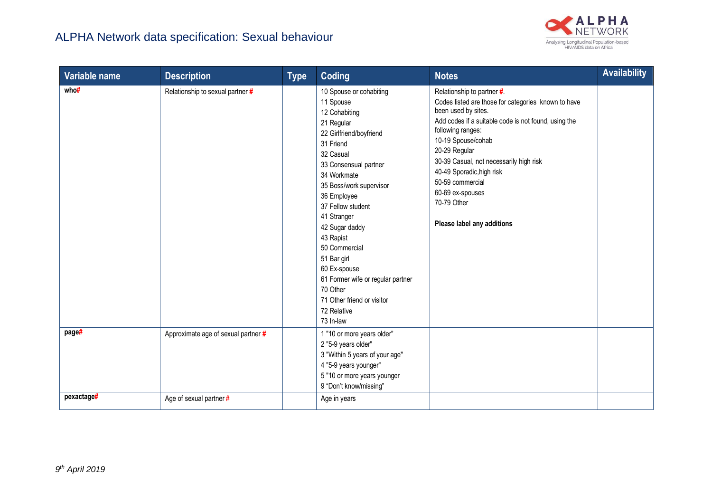

| Variable name | <b>Description</b>                  | <b>Type</b> | <b>Coding</b>                                                                                                                                                                                                                                                                                                                                                                                                                            | <b>Notes</b>                                                                                                                                                                                                                                                                                                                                                                              | <b>Availability</b> |
|---------------|-------------------------------------|-------------|------------------------------------------------------------------------------------------------------------------------------------------------------------------------------------------------------------------------------------------------------------------------------------------------------------------------------------------------------------------------------------------------------------------------------------------|-------------------------------------------------------------------------------------------------------------------------------------------------------------------------------------------------------------------------------------------------------------------------------------------------------------------------------------------------------------------------------------------|---------------------|
| who#          | Relationship to sexual partner #    |             | 10 Spouse or cohabiting<br>11 Spouse<br>12 Cohabiting<br>21 Regular<br>22 Girlfriend/boyfriend<br>31 Friend<br>32 Casual<br>33 Consensual partner<br>34 Workmate<br>35 Boss/work supervisor<br>36 Employee<br>37 Fellow student<br>41 Stranger<br>42 Sugar daddy<br>43 Rapist<br>50 Commercial<br>51 Bar girl<br>60 Ex-spouse<br>61 Former wife or regular partner<br>70 Other<br>71 Other friend or visitor<br>72 Relative<br>73 In-law | Relationship to partner #.<br>Codes listed are those for categories known to have<br>been used by sites.<br>Add codes if a suitable code is not found, using the<br>following ranges:<br>10-19 Spouse/cohab<br>20-29 Regular<br>30-39 Casual, not necessarily high risk<br>40-49 Sporadic, high risk<br>50-59 commercial<br>60-69 ex-spouses<br>70-79 Other<br>Please label any additions |                     |
| page#         | Approximate age of sexual partner # |             | 1 "10 or more years older"<br>2 "5-9 years older"<br>3 "Within 5 years of your age"<br>4 "5-9 years younger"<br>5 "10 or more years younger<br>9 "Don't know/missing"                                                                                                                                                                                                                                                                    |                                                                                                                                                                                                                                                                                                                                                                                           |                     |
| pexactage#    | Age of sexual partner #             |             | Age in years                                                                                                                                                                                                                                                                                                                                                                                                                             |                                                                                                                                                                                                                                                                                                                                                                                           |                     |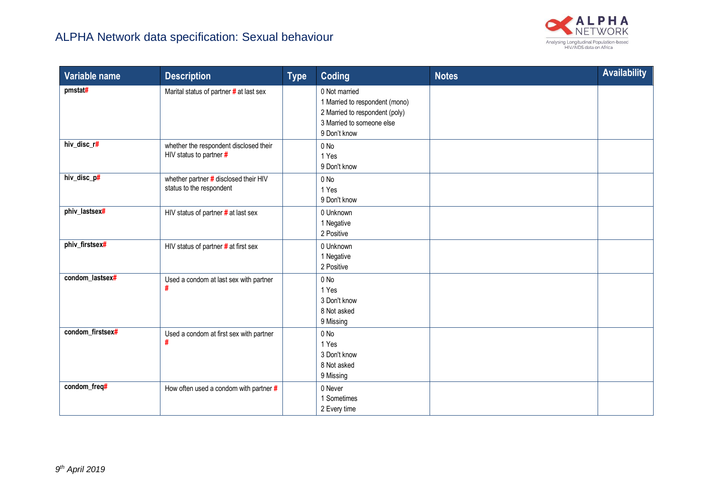

| Variable name    | <b>Description</b>                                                | <b>Type</b> | <b>Coding</b>                                                                                                                  | <b>Notes</b> | <b>Availability</b> |
|------------------|-------------------------------------------------------------------|-------------|--------------------------------------------------------------------------------------------------------------------------------|--------------|---------------------|
| pmstat#          | Marital status of partner # at last sex                           |             | 0 Not married<br>1 Married to respondent (mono)<br>2 Married to respondent (poly)<br>3 Married to someone else<br>9 Don't know |              |                     |
| hiv_disc_r#      | whether the respondent disclosed their<br>HIV status to partner # |             | 0 No<br>1 Yes<br>9 Don't know                                                                                                  |              |                     |
| hiv_disc_p#      | whether partner # disclosed their HIV<br>status to the respondent |             | $0$ No<br>1 Yes<br>9 Don't know                                                                                                |              |                     |
| phiv lastsex#    | HIV status of partner # at last sex                               |             | 0 Unknown<br>1 Negative<br>2 Positive                                                                                          |              |                     |
| phiv_firstsex#   | HIV status of partner # at first sex                              |             | 0 Unknown<br>1 Negative<br>2 Positive                                                                                          |              |                     |
| condom_lastsex#  | Used a condom at last sex with partner<br>#                       |             | $0$ No<br>1 Yes<br>3 Don't know<br>8 Not asked<br>9 Missing                                                                    |              |                     |
| condom_firstsex# | Used a condom at first sex with partner<br>#                      |             | $0$ No<br>1 Yes<br>3 Don't know<br>8 Not asked<br>9 Missing                                                                    |              |                     |
| condom_freq#     | How often used a condom with partner $#$                          |             | 0 Never<br>1 Sometimes<br>2 Every time                                                                                         |              |                     |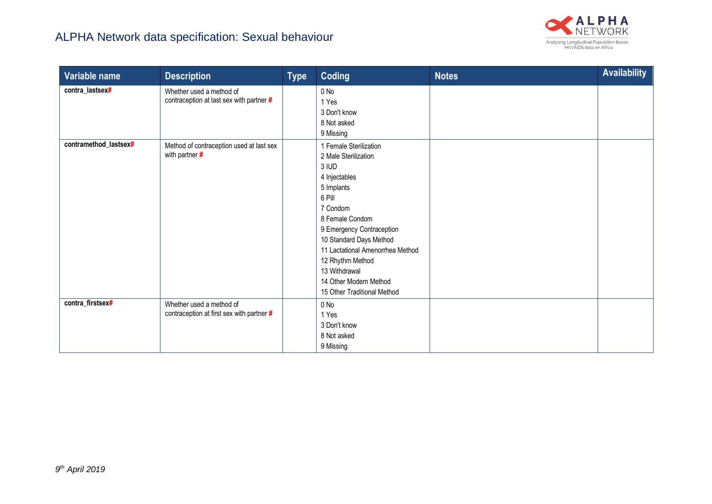

| Variable name                            | <b>Description</b>                                                                                                                 | <b>Type</b> | Coding                                                                                                                                                                                                                                                                                                                          | <b>Notes</b> | <b>Availability</b> |
|------------------------------------------|------------------------------------------------------------------------------------------------------------------------------------|-------------|---------------------------------------------------------------------------------------------------------------------------------------------------------------------------------------------------------------------------------------------------------------------------------------------------------------------------------|--------------|---------------------|
| contra_lastsex#<br>contramethod_lastsex# | Whether used a method of<br>contraception at last sex with partner #<br>Method of contraception used at last sex<br>with partner # |             | $0$ No<br>1 Yes<br>3 Don't know<br>8 Not asked<br>9 Missing<br>1 Female Sterilization<br>2 Male Sterilization<br>3 IUD<br>4 Injectables<br>5 Implants<br>6 Pill<br>7 Condom<br>8 Female Condom<br>9 Emergency Contraception<br>10 Standard Days Method<br>11 Lactational Amenorrhea Method<br>12 Rhythm Method<br>13 Withdrawal |              |                     |
|                                          |                                                                                                                                    |             | 14 Other Modern Method<br>15 Other Traditional Method                                                                                                                                                                                                                                                                           |              |                     |
| contra_firstsex#                         | Whether used a method of<br>contraception at first sex with partner #                                                              |             | 0 No<br>1 Yes<br>3 Don't know<br>8 Not asked<br>9 Missing                                                                                                                                                                                                                                                                       |              |                     |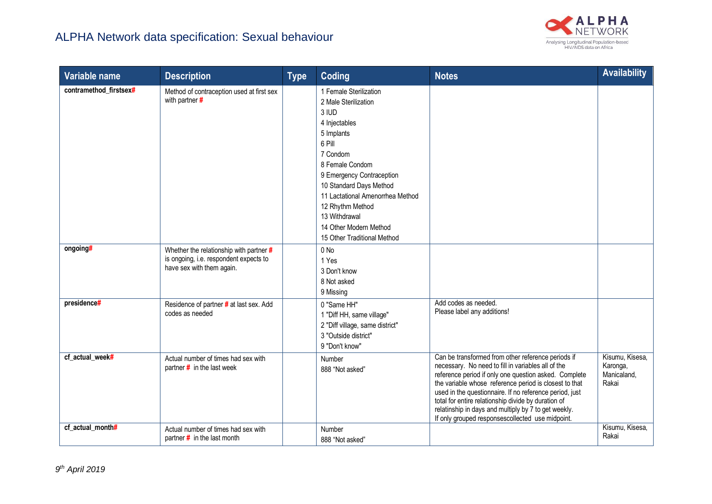

| Variable name          | <b>Description</b>                                                                                             | <b>Type</b> | Coding                                                                                                                                                                                                                                                                                                                    | <b>Notes</b>                                                                                                                                                                                                                                                                                                                                                                                                                                              | <b>Availability</b>                                 |
|------------------------|----------------------------------------------------------------------------------------------------------------|-------------|---------------------------------------------------------------------------------------------------------------------------------------------------------------------------------------------------------------------------------------------------------------------------------------------------------------------------|-----------------------------------------------------------------------------------------------------------------------------------------------------------------------------------------------------------------------------------------------------------------------------------------------------------------------------------------------------------------------------------------------------------------------------------------------------------|-----------------------------------------------------|
| contramethod firstsex# | Method of contraception used at first sex<br>with partner #                                                    |             | 1 Female Sterilization<br>2 Male Sterilization<br>3 IUD<br>4 Injectables<br>5 Implants<br>6 Pill<br>7 Condom<br>8 Female Condom<br>9 Emergency Contraception<br>10 Standard Days Method<br>11 Lactational Amenorrhea Method<br>12 Rhythm Method<br>13 Withdrawal<br>14 Other Modern Method<br>15 Other Traditional Method |                                                                                                                                                                                                                                                                                                                                                                                                                                                           |                                                     |
| ongoing#               | Whether the relationship with partner #<br>is ongoing, i.e. respondent expects to<br>have sex with them again. |             | 0 No<br>1 Yes<br>3 Don't know<br>8 Not asked<br>9 Missing                                                                                                                                                                                                                                                                 |                                                                                                                                                                                                                                                                                                                                                                                                                                                           |                                                     |
| presidence#            | Residence of partner # at last sex. Add<br>codes as needed                                                     |             | 0 "Same HH"<br>1 "Diff HH, same village"<br>2 "Diff village, same district"<br>3 "Outside district"<br>9 "Don't know"                                                                                                                                                                                                     | Add codes as needed.<br>Please label any additions!                                                                                                                                                                                                                                                                                                                                                                                                       |                                                     |
| cf_actual_week#        | Actual number of times had sex with<br>partner $#$ in the last week                                            |             | Number<br>888 "Not asked"                                                                                                                                                                                                                                                                                                 | Can be transformed from other reference periods if<br>necessary. No need to fill in variables all of the<br>reference period if only one question asked. Complete<br>the variable whose reference period is closest to that<br>used in the questionnaire. If no reference period, just<br>total for entire relationship divide by duration of<br>relatinship in days and multiply by 7 to get weekly.<br>If only grouped responsescollected use midpoint. | Kisumu, Kisesa,<br>Karonga,<br>Manicaland,<br>Rakai |
| cf_actual_month#       | Actual number of times had sex with<br>partner $\#$ in the last month                                          |             | Number<br>888 "Not asked"                                                                                                                                                                                                                                                                                                 |                                                                                                                                                                                                                                                                                                                                                                                                                                                           | Kisumu, Kisesa,<br>Rakai                            |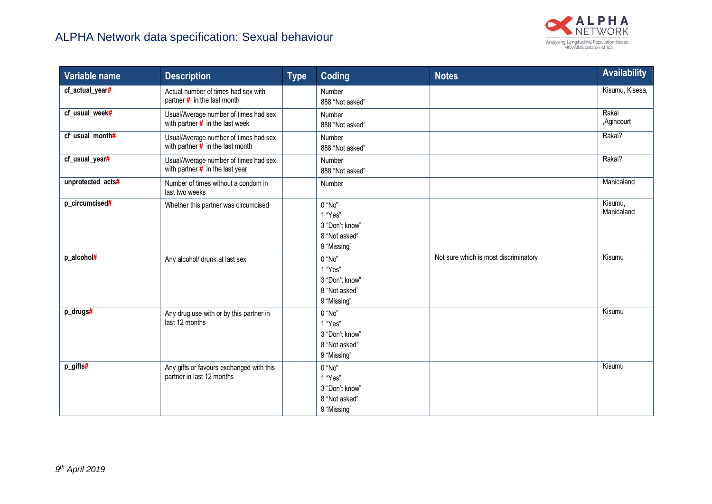

| Variable name     | <b>Description</b>                                                          | <b>Type</b> | <b>Coding</b>                                                       | <b>Notes</b>                          | <b>Availability</b>   |
|-------------------|-----------------------------------------------------------------------------|-------------|---------------------------------------------------------------------|---------------------------------------|-----------------------|
| cf_actual_year#   | Actual number of times had sex with<br>partner $#$ in the last month        |             | Number<br>888 "Not asked"                                           |                                       | Kisumu, Kisesa,       |
| cf_usual_week#    | Usual/Average number of times had sex<br>with partner $\#$ in the last week |             | Number<br>888 "Not asked"                                           |                                       | Rakai<br>,Agincourt   |
| cf_usual_month#   | Usual/Average number of times had sex<br>with partner $#$ in the last month |             | Number<br>888 "Not asked"                                           |                                       | Rakai?                |
| cf_usual_year#    | Usual/Average number of times had sex<br>with partner $#$ in the last year  |             | Number<br>888 "Not asked"                                           |                                       | Rakai?                |
| unprotected_acts# | Number of times without a condom in<br>last two weeks                       |             | Number                                                              |                                       | Manicaland            |
| p_circumcised#    | Whether this partner was circumcised                                        |             | 0 "No"<br>1 "Yes"<br>3 "Don't know"<br>8 "Not asked"<br>9 "Missing" |                                       | Kisumu,<br>Manicaland |
| p_alcohol#        | Any alcohol/ drunk at last sex                                              |             | 0 "No"<br>1 "Yes"<br>3 "Don't know"<br>8 "Not asked"<br>9 "Missing" | Not sure which is most discriminatory | Kisumu                |
| p_drugs#          | Any drug use with or by this partner in<br>last 12 months                   |             | 0 "No"<br>1 "Yes"<br>3 "Don't know"<br>8 "Not asked"<br>9 "Missing" |                                       | Kisumu                |
| p_gifts#          | Any gifts or favours exchanged with this<br>partner in last 12 months       |             | 0 "No"<br>1 "Yes"<br>3 "Don't know"<br>8 "Not asked"<br>9 "Missing" |                                       | Kisumu                |